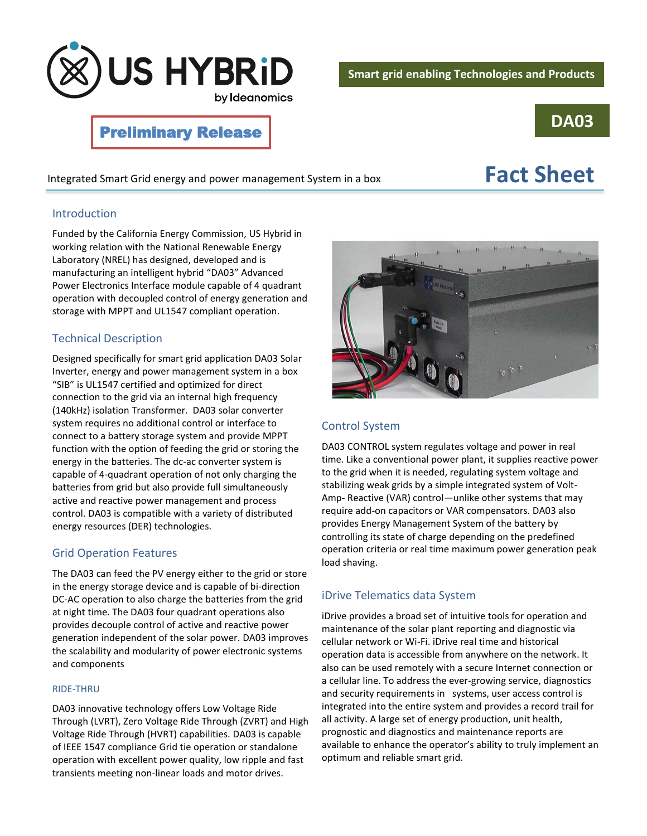

# **DA03**

## Preliminary Release

Integrated Smart Grid energy and power management System in a box **Fact Sheet** 

#### Introduction

Funded by the California Energy Commission, US Hybrid in working relation with the National Renewable Energy Laboratory (NREL) has designed, developed and is manufacturing an intelligent hybrid "DA03" Advanced Power Electronics Interface module capable of 4 quadrant operation with decoupled control of energy generation and storage with MPPT and UL1547 compliant operation.

#### Technical Description

Designed specifically for smart grid application DA03 Solar Inverter, energy and power management system in a box "SIB" is UL1547 certified and optimized for direct connection to the grid via an internal high frequency (140kHz) isolation Transformer. DA03 solar converter system requires no additional control or interface to connect to a battery storage system and provide MPPT function with the option of feeding the grid or storing the energy in the batteries. The dc-ac converter system is capable of 4-quadrant operation of not only charging the batteries from grid but also provide full simultaneously active and reactive power management and process control. DA03 is compatible with a variety of distributed energy resources (DER) technologies.

#### Grid Operation Features

The DA03 can feed the PV energy either to the grid or store in the energy storage device and is capable of bi-direction DC-AC operation to also charge the batteries from the grid at night time. The DA03 four quadrant operations also provides decouple control of active and reactive power generation independent of the solar power. DA03 improves the scalability and modularity of power electronic systems and components

#### RIDE-THRU

DA03 innovative technology offers Low Voltage Ride Through (LVRT), Zero Voltage Ride Through (ZVRT) and High Voltage Ride Through (HVRT) capabilities. DA03 is capable of IEEE 1547 compliance Grid tie operation or standalone operation with excellent power quality, low ripple and fast transients meeting non-linear loads and motor drives.



#### Control System

DA03 CONTROL system regulates voltage and power in real time. Like a conventional power plant, it supplies reactive power to the grid when it is needed, regulating system voltage and stabilizing weak grids by a simple integrated system of Volt-Amp- Reactive (VAR) control—unlike other systems that may require add-on capacitors or VAR compensators. DA03 also provides Energy Management System of the battery by controlling its state of charge depending on the predefined operation criteria or real time maximum power generation peak load shaving.

### iDrive Telematics data System

iDrive provides a broad set of intuitive tools for operation and maintenance of the solar plant reporting and diagnostic via cellular network or Wi-Fi. iDrive real time and historical operation data is accessible from anywhere on the network. It also can be used remotely with a secure Internet connection or a cellular line. To address the ever-growing service, diagnostics and security requirements in systems, user access control is integrated into the entire system and provides a record trail for all activity. A large set of energy production, unit health, prognostic and diagnostics and maintenance reports are available to enhance the operator's ability to truly implement an optimum and reliable smart grid.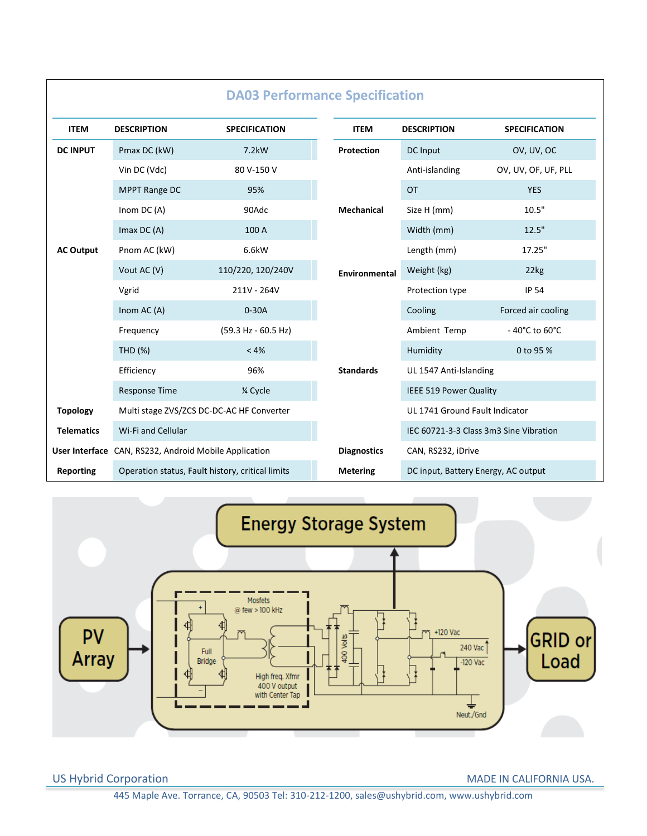| <b>DA03 Performance Specification</b> |                                                       |                      |                                   |                                     |                                        |
|---------------------------------------|-------------------------------------------------------|----------------------|-----------------------------------|-------------------------------------|----------------------------------------|
| <b>ITEM</b>                           | <b>DESCRIPTION</b>                                    | <b>SPECIFICATION</b> | <b>ITEM</b>                       | <b>DESCRIPTION</b>                  | <b>SPECIFICATION</b>                   |
| <b>DC INPUT</b>                       | Pmax DC (kW)                                          | 7.2kW                | Protection<br><b>Mechanical</b>   | DC Input                            | OV, UV, OC                             |
|                                       | Vin DC (Vdc)                                          | 80 V-150 V           |                                   | Anti-islanding                      | OV, UV, OF, UF, PLL                    |
|                                       | MPPT Range DC                                         | 95%                  |                                   | <b>OT</b>                           | <b>YES</b>                             |
|                                       | Inom $DC(A)$                                          | 90Adc                |                                   | Size H (mm)                         | 10.5"                                  |
|                                       | Imax $DC(A)$                                          | 100 A                |                                   | Width (mm)                          | 12.5"                                  |
| <b>AC Output</b>                      | Pnom AC (kW)                                          | 6.6kW                | Environmental<br><b>Standards</b> | Length (mm)                         | 17.25"                                 |
|                                       | Vout AC (V)                                           | 110/220, 120/240V    |                                   | Weight (kg)                         | 22kg                                   |
|                                       | Vgrid                                                 | 211V - 264V          |                                   | Protection type                     | <b>IP 54</b>                           |
|                                       | Inom AC (A)                                           | $0-30A$              |                                   | Cooling                             | Forced air cooling                     |
|                                       | Frequency                                             | (59.3 Hz - 60.5 Hz)  |                                   | Ambient Temp                        | - 40°C to 60°C                         |
|                                       | <b>THD (%)</b>                                        | < 4%                 |                                   | Humidity                            | 0 to 95 %                              |
|                                       | Efficiency                                            | 96%                  |                                   | UL 1547 Anti-Islanding              |                                        |
|                                       | <b>Response Time</b>                                  | 1⁄4 Cycle            |                                   | IEEE 519 Power Quality              |                                        |
| <b>Topology</b>                       | Multi stage ZVS/ZCS DC-DC-AC HF Converter             |                      |                                   | UL 1741 Ground Fault Indicator      |                                        |
| <b>Telematics</b>                     | Wi-Fi and Cellular                                    |                      |                                   |                                     | IEC 60721-3-3 Class 3m3 Sine Vibration |
|                                       | User Interface CAN, RS232, Android Mobile Application |                      | <b>Diagnostics</b>                | CAN, RS232, iDrive                  |                                        |
| Reporting                             | Operation status, Fault history, critical limits      |                      | <b>Metering</b>                   | DC input, Battery Energy, AC output |                                        |



US Hybrid Corporation MADE IN CALIFORNIA USA.

445 Maple Ave. Torrance, CA, 90503 Tel: 310-212-1200, sales@ushybrid.com, www.ushybrid.com